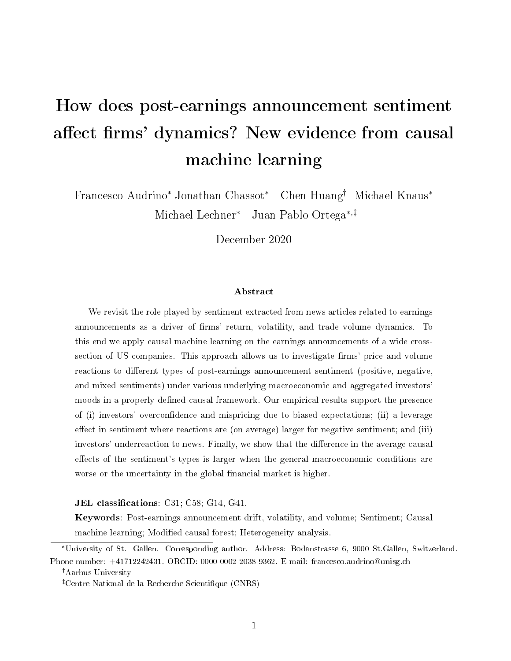# How does post-earnings announcement sentiment affect firms' dynamics? New evidence from causal machine learning

Francesco Audrino\* Jonathan Chassot\* Chen Huang<sup>†</sup> Michael Knaus<sup>\*</sup> Michael Lechner<sup>∗</sup> Juan Pablo Ortega<sup>∗</sup>,

December 2020

#### Abstract

We revisit the role played by sentiment extracted from news articles related to earnings announcements as a driver of firms' return, volatility, and trade volume dynamics. To this end we apply causal machine learning on the earnings announcements of a wide crosssection of US companies. This approach allows us to investigate firms' price and volume reactions to different types of post-earnings announcement sentiment (positive, negative, and mixed sentiments) under various underlying macroeconomic and aggregated investors' moods in a properly defined causal framework. Our empirical results support the presence of (i) investors' overcondence and mispricing due to biased expectations; (ii) a leverage effect in sentiment where reactions are (on average) larger for negative sentiment; and (iii) investors' underreaction to news. Finally, we show that the difference in the average causal effects of the sentiment's types is larger when the general macroeconomic conditions are worse or the uncertainty in the global financial market is higher.

#### JEL classifications:  $C31$ ;  $C58$ ;  $G14$ ,  $G41$ .

Keywords: Post-earnings announcement drift, volatility, and volume; Sentiment; Causal machine learning; Modified causal forest; Heterogeneity analysis.

<sup>\*</sup>University of St. Gallen. Corresponding author. Address: Bodanstrasse 6, 9000 St.Gallen, Switzerland. Phone number: +41712242431. ORCID: 0000-0002-2038-9362. E-mail: francesco.audrino@unisg.ch

Aarhus University

Centre National de la Recherche Scientique (CNRS)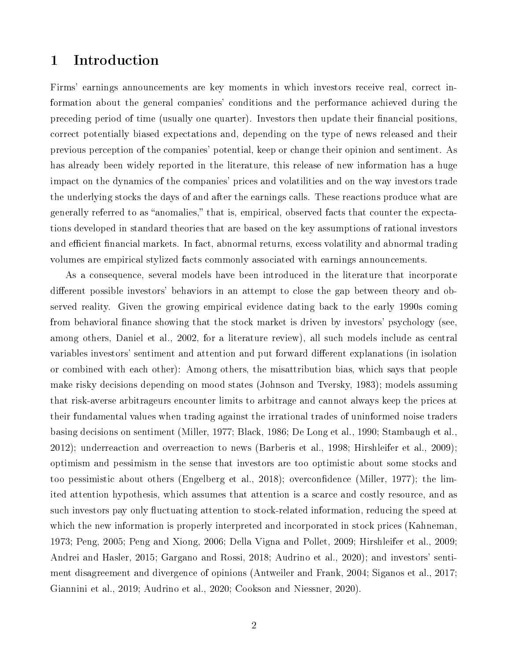# 1 Introduction

Firms' earnings announcements are key moments in which investors receive real, correct information about the general companies' conditions and the performance achieved during the preceding period of time (usually one quarter). Investors then update their financial positions. correct potentially biased expectations and, depending on the type of news released and their previous perception of the companies' potential, keep or change their opinion and sentiment. As has already been widely reported in the literature, this release of new information has a huge impact on the dynamics of the companies' prices and volatilities and on the way investors trade the underlying stocks the days of and after the earnings calls. These reactions produce what are generally referred to as "anomalies," that is, empirical, observed facts that counter the expectations developed in standard theories that are based on the key assumptions of rational investors and efficient financial markets. In fact, abnormal returns, excess volatility and abnormal trading volumes are empirical stylized facts commonly associated with earnings announcements.

As a consequence, several models have been introduced in the literature that incorporate different possible investors' behaviors in an attempt to close the gap between theory and observed reality. Given the growing empirical evidence dating back to the early 1990s coming from behavioral finance showing that the stock market is driven by investors' psychology (see, among others, Daniel et al., 2002, for a literature review), all such models include as central variables investors' sentiment and attention and put forward different explanations (in isolation or combined with each other): Among others, the misattribution bias, which says that people make risky decisions depending on mood states (Johnson and Tversky, 1983); models assuming that risk-averse arbitrageurs encounter limits to arbitrage and cannot always keep the prices at their fundamental values when trading against the irrational trades of uninformed noise traders basing decisions on sentiment (Miller, 1977; Black, 1986; De Long et al., 1990; Stambaugh et al., 2012); underreaction and overreaction to news (Barberis et al., 1998; Hirshleifer et al., 2009); optimism and pessimism in the sense that investors are too optimistic about some stocks and too pessimistic about others (Engelberg et al., 2018); overcondence (Miller, 1977); the limited attention hypothesis, which assumes that attention is a scarce and costly resource, and as such investors pay only fluctuating attention to stock-related information, reducing the speed at which the new information is properly interpreted and incorporated in stock prices (Kahneman, 1973; Peng, 2005; Peng and Xiong, 2006; Della Vigna and Pollet, 2009; Hirshleifer et al., 2009; Andrei and Hasler, 2015; Gargano and Rossi, 2018; Audrino et al., 2020); and investors' sentiment disagreement and divergence of opinions (Antweiler and Frank, 2004; Siganos et al., 2017; Giannini et al., 2019; Audrino et al., 2020; Cookson and Niessner, 2020).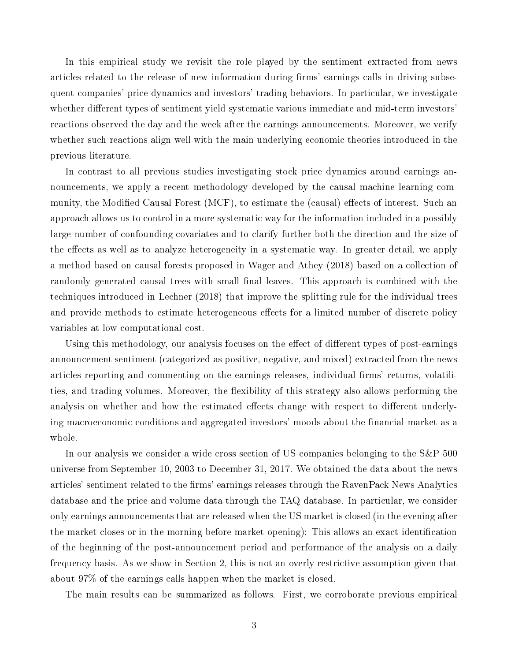In this empirical study we revisit the role played by the sentiment extracted from news articles related to the release of new information during firms' earnings calls in driving subsequent companies' price dynamics and investors' trading behaviors. In particular, we investigate whether different types of sentiment yield systematic various immediate and mid-term investors' reactions observed the day and the week after the earnings announcements. Moreover, we verify whether such reactions align well with the main underlying economic theories introduced in the previous literature.

In contrast to all previous studies investigating stock price dynamics around earnings announcements, we apply a recent methodology developed by the causal machine learning community, the Modified Causal Forest (MCF), to estimate the (causal) effects of interest. Such an approach allows us to control in a more systematic way for the information included in a possibly large number of confounding covariates and to clarify further both the direction and the size of the effects as well as to analyze heterogeneity in a systematic way. In greater detail, we apply a method based on causal forests proposed in Wager and Athey (2018) based on a collection of randomly generated causal trees with small final leaves. This approach is combined with the techniques introduced in Lechner (2018) that improve the splitting rule for the individual trees and provide methods to estimate heterogeneous effects for a limited number of discrete policy variables at low computational cost.

Using this methodology, our analysis focuses on the effect of different types of post-earnings announcement sentiment (categorized as positive, negative, and mixed) extracted from the news articles reporting and commenting on the earnings releases, individual firms' returns, volatilities, and trading volumes. Moreover, the flexibility of this strategy also allows performing the analysis on whether and how the estimated effects change with respect to different underlying macroeconomic conditions and aggregated investors' moods about the financial market as a whole.

In our analysis we consider a wide cross section of US companies belonging to the S&P 500 universe from September 10, 2003 to December 31, 2017. We obtained the data about the news articles' sentiment related to the firms' earnings releases through the RavenPack News Analytics database and the price and volume data through the TAQ database. In particular, we consider only earnings announcements that are released when the US market is closed (in the evening after the market closes or in the morning before market opening): This allows an exact identification of the beginning of the post-announcement period and performance of the analysis on a daily frequency basis. As we show in Section 2, this is not an overly restrictive assumption given that about 97% of the earnings calls happen when the market is closed.

The main results can be summarized as follows. First, we corroborate previous empirical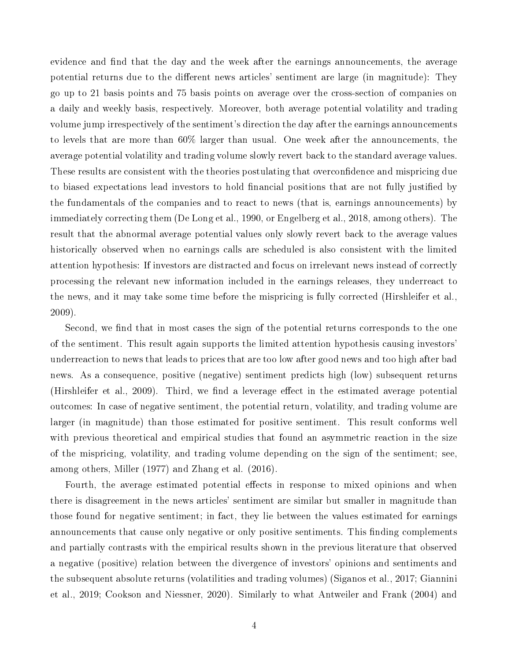evidence and find that the day and the week after the earnings announcements, the average potential returns due to the different news articles' sentiment are large (in magnitude): They go up to 21 basis points and 75 basis points on average over the cross-section of companies on a daily and weekly basis, respectively. Moreover, both average potential volatility and trading volume jump irrespectively of the sentiment's direction the day after the earnings announcements to levels that are more than 60% larger than usual. One week after the announcements, the average potential volatility and trading volume slowly revert back to the standard average values. These results are consistent with the theories postulating that overconfidence and mispricing due to biased expectations lead investors to hold financial positions that are not fully justified by the fundamentals of the companies and to react to news (that is, earnings announcements) by immediately correcting them (De Long et al., 1990, or Engelberg et al., 2018, among others). The result that the abnormal average potential values only slowly revert back to the average values historically observed when no earnings calls are scheduled is also consistent with the limited attention hypothesis: If investors are distracted and focus on irrelevant news instead of correctly processing the relevant new information included in the earnings releases, they underreact to the news, and it may take some time before the mispricing is fully corrected (Hirshleifer et al., 2009).

Second, we find that in most cases the sign of the potential returns corresponds to the one of the sentiment. This result again supports the limited attention hypothesis causing investors' underreaction to news that leads to prices that are too low after good news and too high after bad news. As a consequence, positive (negative) sentiment predicts high (low) subsequent returns (Hirshleifer et al., 2009). Third, we find a leverage effect in the estimated average potential outcomes: In case of negative sentiment, the potential return, volatility, and trading volume are larger (in magnitude) than those estimated for positive sentiment. This result conforms well with previous theoretical and empirical studies that found an asymmetric reaction in the size of the mispricing, volatility, and trading volume depending on the sign of the sentiment; see, among others, Miller (1977) and Zhang et al. (2016).

Fourth, the average estimated potential effects in response to mixed opinions and when there is disagreement in the news articles' sentiment are similar but smaller in magnitude than those found for negative sentiment; in fact, they lie between the values estimated for earnings announcements that cause only negative or only positive sentiments. This finding complements and partially contrasts with the empirical results shown in the previous literature that observed a negative (positive) relation between the divergence of investors' opinions and sentiments and the subsequent absolute returns (volatilities and trading volumes) (Siganos et al., 2017; Giannini et al., 2019; Cookson and Niessner, 2020). Similarly to what Antweiler and Frank (2004) and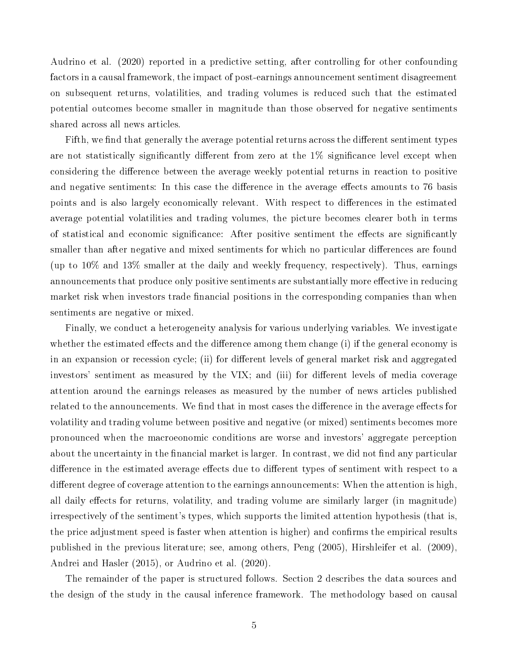Audrino et al. (2020) reported in a predictive setting, after controlling for other confounding factors in a causal framework, the impact of post-earnings announcement sentiment disagreement on subsequent returns, volatilities, and trading volumes is reduced such that the estimated potential outcomes become smaller in magnitude than those observed for negative sentiments shared across all news articles.

Fifth, we find that generally the average potential returns across the different sentiment types are not statistically significantly different from zero at the  $1\%$  significance level except when considering the difference between the average weekly potential returns in reaction to positive and negative sentiments: In this case the difference in the average effects amounts to 76 basis points and is also largely economically relevant. With respect to differences in the estimated average potential volatilities and trading volumes, the picture becomes clearer both in terms of statistical and economic significance: After positive sentiment the effects are significantly smaller than after negative and mixed sentiments for which no particular differences are found (up to 10% and 13% smaller at the daily and weekly frequency, respectively). Thus, earnings announcements that produce only positive sentiments are substantially more effective in reducing market risk when investors trade financial positions in the corresponding companies than when sentiments are negative or mixed.

Finally, we conduct a heterogeneity analysis for various underlying variables. We investigate whether the estimated effects and the difference among them change  $(i)$  if the general economy is in an expansion or recession cycle; (ii) for different levels of general market risk and aggregated investors' sentiment as measured by the VIX; and (iii) for different levels of media coverage attention around the earnings releases as measured by the number of news articles published related to the announcements. We find that in most cases the difference in the average effects for volatility and trading volume between positive and negative (or mixed) sentiments becomes more pronounced when the macroeonomic conditions are worse and investors' aggregate perception about the uncertainty in the financial market is larger. In contrast, we did not find any particular difference in the estimated average effects due to different types of sentiment with respect to a different degree of coverage attention to the earnings announcements: When the attention is high, all daily effects for returns, volatility, and trading volume are similarly larger (in magnitude) irrespectively of the sentiment's types, which supports the limited attention hypothesis (that is, the price adjustment speed is faster when attention is higher) and confirms the empirical results published in the previous literature; see, among others, Peng (2005), Hirshleifer et al. (2009), Andrei and Hasler (2015), or Audrino et al. (2020).

The remainder of the paper is structured follows. Section 2 describes the data sources and the design of the study in the causal inference framework. The methodology based on causal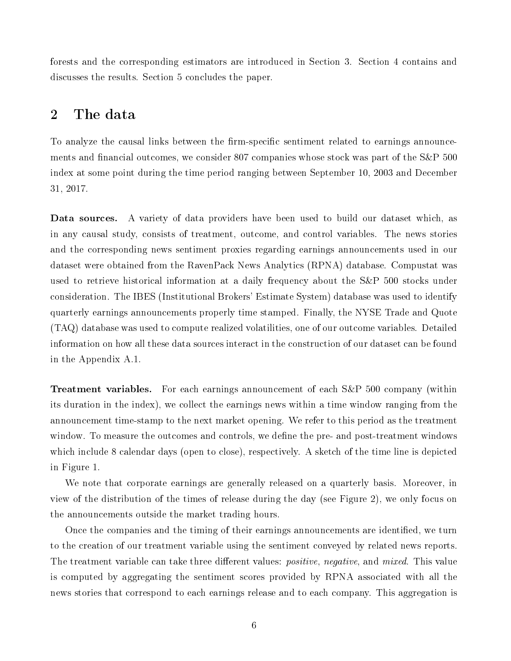forests and the corresponding estimators are introduced in Section 3. Section 4 contains and discusses the results. Section 5 concludes the paper.

# 2 The data

To analyze the causal links between the firm-specific sentiment related to earnings announcements and financial outcomes, we consider 807 companies whose stock was part of the S&P 500 index at some point during the time period ranging between September 10, 2003 and December 31, 2017.

Data sources. A variety of data providers have been used to build our dataset which, as in any causal study, consists of treatment, outcome, and control variables. The news stories and the corresponding news sentiment proxies regarding earnings announcements used in our dataset were obtained from the RavenPack News Analytics (RPNA) database. Compustat was used to retrieve historical information at a daily frequency about the S&P 500 stocks under consideration. The IBES (Institutional Brokers' Estimate System) database was used to identify quarterly earnings announcements properly time stamped. Finally, the NYSE Trade and Quote (TAQ) database was used to compute realized volatilities, one of our outcome variables. Detailed information on how all these data sources interact in the construction of our dataset can be found in the Appendix A.1.

Treatment variables. For each earnings announcement of each S&P 500 company (within its duration in the index), we collect the earnings news within a time window ranging from the announcement time-stamp to the next market opening. We refer to this period as the treatment window. To measure the outcomes and controls, we define the pre- and post-treatment windows which include 8 calendar days (open to close), respectively. A sketch of the time line is depicted in Figure 1.

We note that corporate earnings are generally released on a quarterly basis. Moreover, in view of the distribution of the times of release during the day (see Figure 2), we only focus on the announcements outside the market trading hours.

Once the companies and the timing of their earnings announcements are identified, we turn to the creation of our treatment variable using the sentiment conveyed by related news reports. The treatment variable can take three different values: *positive*, *negative*, and *mixed*. This value is computed by aggregating the sentiment scores provided by RPNA associated with all the news stories that correspond to each earnings release and to each company. This aggregation is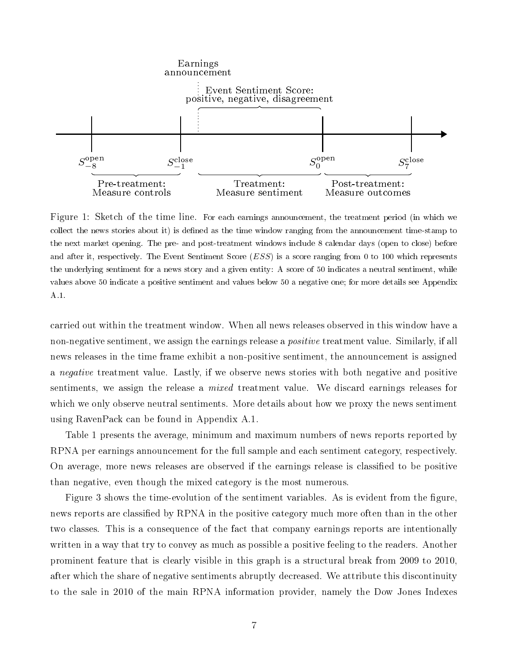

Figure 1: Sketch of the time line. For each earnings announcement, the treatment period (in which we collect the news stories about it) is defined as the time window ranging from the announcement time-stamp to the next market opening. The pre- and post-treatment windows include 8 calendar days (open to close) before and after it, respectively. The Event Sentiment Score (ESS) is a score ranging from 0 to 100 which represents the underlying sentiment for a news story and a given entity: A score of 50 indicates a neutral sentiment, while values above 50 indicate a positive sentiment and values below 50 a negative one; for more details see Appendix A.1.

carried out within the treatment window. When all news releases observed in this window have a non-negative sentiment, we assign the earnings release a *positive* treatment value. Similarly, if all news releases in the time frame exhibit a non-positive sentiment, the announcement is assigned a *negative* treatment value. Lastly, if we observe news stories with both negative and positive sentiments, we assign the release a mixed treatment value. We discard earnings releases for which we only observe neutral sentiments. More details about how we proxy the news sentiment using RavenPack can be found in Appendix A.1.

Table 1 presents the average, minimum and maximum numbers of news reports reported by RPNA per earnings announcement for the full sample and each sentiment category, respectively. On average, more news releases are observed if the earnings release is classified to be positive than negative, even though the mixed category is the most numerous.

Figure 3 shows the time-evolution of the sentiment variables. As is evident from the figure, news reports are classified by RPNA in the positive category much more often than in the other two classes. This is a consequence of the fact that company earnings reports are intentionally written in a way that try to convey as much as possible a positive feeling to the readers. Another prominent feature that is clearly visible in this graph is a structural break from 2009 to 2010, after which the share of negative sentiments abruptly decreased. We attribute this discontinuity to the sale in 2010 of the main RPNA information provider, namely the Dow Jones Indexes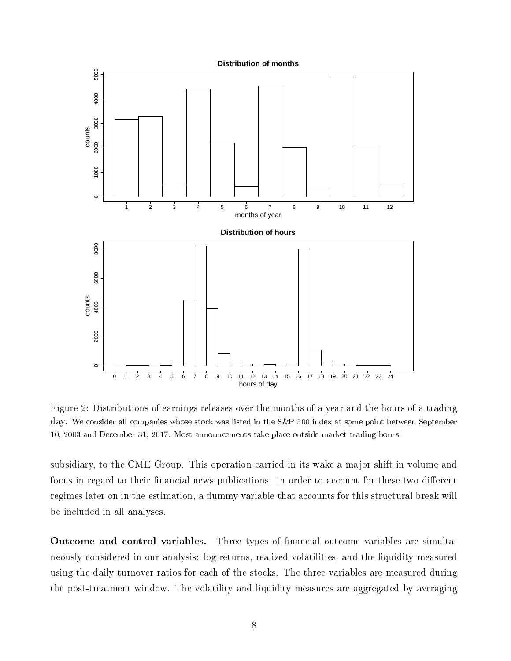

Figure 2: Distributions of earnings releases over the months of a year and the hours of a trading day. We consider all companies whose stock was listed in the S&P 500 index at some point between September 10, 2003 and December 31, 2017. Most announcements take place outside market trading hours.

subsidiary, to the CME Group. This operation carried in its wake a major shift in volume and focus in regard to their financial news publications. In order to account for these two different regimes later on in the estimation, a dummy variable that accounts for this structural break will be included in all analyses.

Outcome and control variables. Three types of financial outcome variables are simultaneously considered in our analysis: log-returns, realized volatilities, and the liquidity measured using the daily turnover ratios for each of the stocks. The three variables are measured during the post-treatment window. The volatility and liquidity measures are aggregated by averaging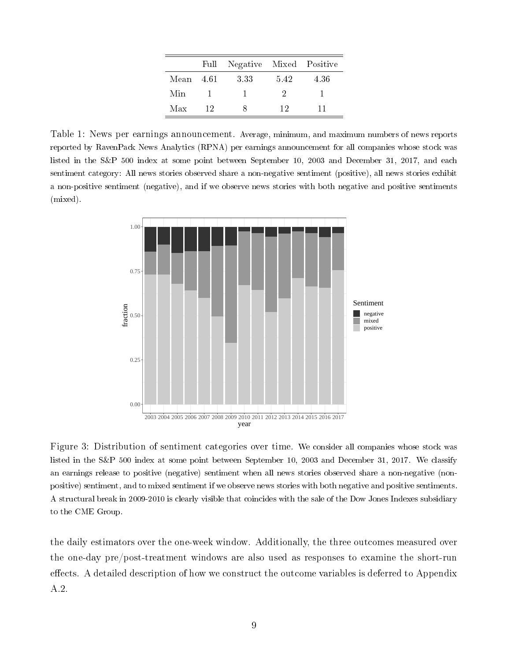|           |    | Full Negative Mixed Positive |      |      |
|-----------|----|------------------------------|------|------|
| Mean 4.61 |    | 3.33                         | 5.42 | 4.36 |
| Min       |    |                              | ٠,   |      |
| Max       | 12 |                              | 12   | 11   |

Table 1: News per earnings announcement. Average, minimum, and maximum numbers of news reports reported by RavenPack News Analytics (RPNA) per earnings announcement for all companies whose stock was listed in the S&P 500 index at some point between September 10, 2003 and December 31, 2017, and each sentiment category: All news stories observed share a non-negative sentiment (positive), all news stories exhibit a non-positive sentiment (negative), and if we observe news stories with both negative and positive sentiments (mixed).



Figure 3: Distribution of sentiment categories over time. We consider all companies whose stock was listed in the S&P 500 index at some point between September 10, 2003 and December 31, 2017. We classify an earnings release to positive (negative) sentiment when all news stories observed share a non-negative (nonpositive) sentiment, and to mixed sentiment if we observe news stories with both negative and positive sentiments. A structural break in 2009-2010 is clearly visible that coincides with the sale of the Dow Jones Indexes subsidiary to the CME Group.

the daily estimators over the one-week window. Additionally, the three outcomes measured over the one-day pre/post-treatment windows are also used as responses to examine the short-run effects. A detailed description of how we construct the outcome variables is deferred to Appendix A.2.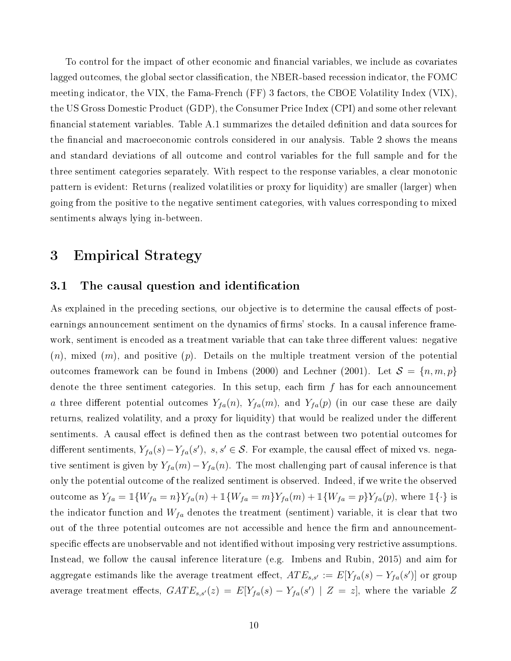To control for the impact of other economic and financial variables, we include as covariates lagged outcomes, the global sector classification, the NBER-based recession indicator, the FOMC meeting indicator, the VIX, the Fama-French (FF) 3 factors, the CBOE Volatility Index (VIX), the US Gross Domestic Product (GDP), the Consumer Price Index (CPI) and some other relevant financial statement variables. Table A.1 summarizes the detailed definition and data sources for the financial and macroeconomic controls considered in our analysis. Table 2 shows the means and standard deviations of all outcome and control variables for the full sample and for the three sentiment categories separately. With respect to the response variables, a clear monotonic pattern is evident: Returns (realized volatilities or proxy for liquidity) are smaller (larger) when going from the positive to the negative sentiment categories, with values corresponding to mixed sentiments always lying in-between.

# 3 Empirical Strategy

## 3.1 The causal question and identification

As explained in the preceding sections, our objective is to determine the causal effects of postearnings announcement sentiment on the dynamics of firms' stocks. In a causal inference framework, sentiment is encoded as a treatment variable that can take three different values: negative  $(n)$ , mixed  $(m)$ , and positive  $(p)$ . Details on the multiple treatment version of the potential outcomes framework can be found in Imbens (2000) and Lechner (2001). Let  $S = \{n, m, p\}$ denote the three sentiment categories. In this setup, each firm  $f$  has for each announcement a three different potential outcomes  $Y_{fa}(n)$ ,  $Y_{fa}(m)$ , and  $Y_{fa}(p)$  (in our case these are daily returns, realized volatility, and a proxy for liquidity) that would be realized under the different sentiments. A causal effect is defined then as the contrast between two potential outcomes for different sentiments,  $Y_{fa}(s) - Y_{fa}(s')$ , s, s' ∈ S. For example, the causal effect of mixed vs. negative sentiment is given by  $Y_{fa}(m) - Y_{fa}(n)$ . The most challenging part of causal inference is that only the potential outcome of the realized sentiment is observed. Indeed, if we write the observed outcome as  $Y_{fa} = \mathbb{1}{W_{fa} = n}Y_{fa}(n) + \mathbb{1}{W_{fa} = m}Y_{fa}(m) + \mathbb{1}{W_{fa} = p}Y_{fa}(p)$ , where  $\mathbb{1}{\cdot}$  is the indicator function and  $W_{fa}$  denotes the treatment (sentiment) variable, it is clear that two out of the three potential outcomes are not accessible and hence the firm and announcementspecific effects are unobservable and not identified without imposing very restrictive assumptions. Instead, we follow the causal inference literature (e.g. Imbens and Rubin, 2015) and aim for aggregate estimands like the average treatment effect,  $ATE_{s,s'} := E[Y_{fa}(s) - Y_{fa}(s')]$  or group average treatment effects,  $GATE_{s,s'}(z) = E[Y_{fa}(s) - Y_{fa}(s') | Z = z]$ , where the variable Z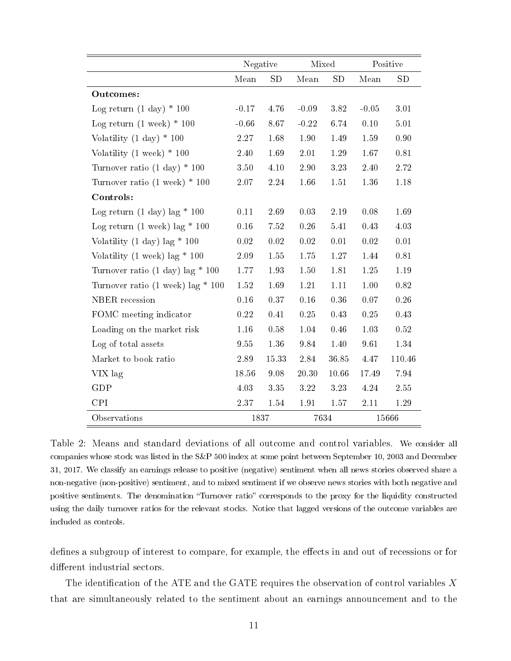|                                            | Negative |          |          | Mixed |          | Positive |
|--------------------------------------------|----------|----------|----------|-------|----------|----------|
|                                            | Mean     | SD       | Mean     | SD    | Mean     | SD       |
| Outcomes:                                  |          |          |          |       |          |          |
| Log return $(1 \text{ day}) * 100$         | $-0.17$  | 4.76     | $-0.09$  | 3.82  | $-0.05$  | 3.01     |
| Log return $(1 \text{ week}) * 100$        | $-0.66$  | 8.67     | $-0.22$  | 6.74  | 0.10     | $5.01\,$ |
| Volatility $(1 \text{ day}) * 100$         | 2.27     | 1.68     | 1.90     | 1.49  | 1.59     | 0.90     |
| Volatility $(1 \text{ week}) * 100$        | 2.40     | 1.69     | 2.01     | 1.29  | 1.67     | 0.81     |
| Turnover ratio $(1 \text{ day}) * 100$     | 3.50     | 4.10     | 2.90     | 3.23  | 2.40     | 2.72     |
| Turnover ratio $(1 \text{ week}) * 100$    | 2.07     | $2.24\,$ | 1.66     | 1.51  | 1.36     | $1.18\,$ |
| Controls:                                  |          |          |          |       |          |          |
| Log return $(1 \text{ day})$ lag * 100     | $0.11\,$ | 2.69     | 0.03     | 2.19  | $0.08\,$ | 1.69     |
| Log return $(1 \text{ week})$ lag * 100    | 0.16     | 7.52     | $0.26\,$ | 5.41  | 0.43     | 4.03     |
| Volatility $(1 \text{ day})$ lag * 100     | 0.02     | 0.02     | 0.02     | 0.01  | 0.02     | 0.01     |
| Volatility $(1 \text{ week})$ lag * 100    | 2.09     | 1.55     | 1.75     | 1.27  | $1.44\,$ | 0.81     |
| Turnover ratio $(1 \text{ day})$ lag * 100 | 1.77     | 1.93     | 1.50     | 1.81  | 1.25     | 1.19     |
| Turnover ratio (1 week) lag $*$ 100        | 1.52     | 1.69     | 1.21     | 1.11  | 1.00     | 0.82     |
| NBER recession                             | $0.16\,$ | $0.37\,$ | 0.16     | 0.36  | 0.07     | 0.26     |
| FOMC meeting indicator                     | 0.22     | 0.41     | 0.25     | 0.43  | 0.25     | 0.43     |
| Loading on the market risk                 | $1.16\,$ | 0.58     | 1.04     | 0.46  | 1.03     | 0.52     |
| Log of total assets                        | 9 55     | 1.36     | 9.84     | 1.40  | 961      | 1.34     |
| Market to book ratio                       | 2.89     | 15.33    | 2.84     | 36.85 | 4.47     | 110.46   |
| VIX lag                                    | 18.56    | 9.08     | 20.30    | 10.66 | 17.49    | 7.94     |
| GDP                                        | 4.03     | 3.35     | 3.22     | 3.23  | 4.24     | 2.55     |
| <b>CPI</b>                                 | 2.37     | 1.54     | 1.91     | 1.57  | 2.11     | 1.29     |
| Observations                               | 1837     |          |          | 7634  |          | 15666    |

Table 2: Means and standard deviations of all outcome and control variables. We consider all companies whose stock was listed in the S&P 500 index at some point between September 10, 2003 and December 31, 2017. We classify an earnings release to positive (negative) sentiment when all news stories observed share a non-negative (non-positive) sentiment, and to mixed sentiment if we observe news stories with both negative and positive sentiments. The denomination "Turnover ratio" corresponds to the proxy for the liquidity constructed using the daily turnover ratios for the relevant stocks. Notice that lagged versions of the outcome variables are included as controls.

defines a subgroup of interest to compare, for example, the effects in and out of recessions or for different industrial sectors.

The identification of the ATE and the GATE requires the observation of control variables  $X$ that are simultaneously related to the sentiment about an earnings announcement and to the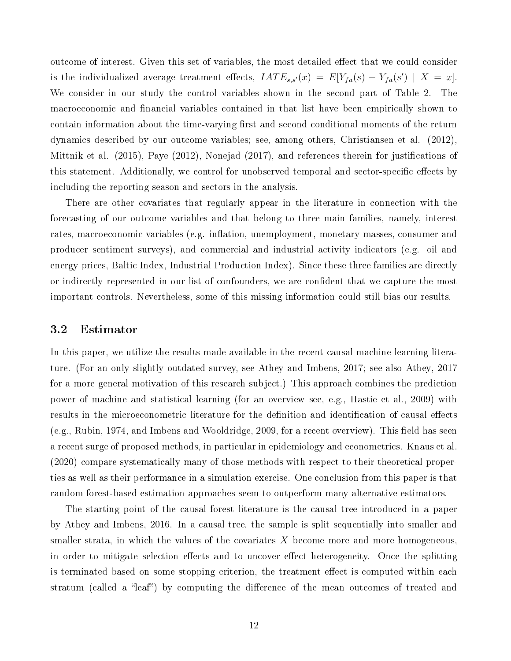outcome of interest. Given this set of variables, the most detailed effect that we could consider is the individualized average treatment effects,  $IATE_{s,s'}(x) = E[Y_{fa}(s) - Y_{fa}(s') | X = x].$ We consider in our study the control variables shown in the second part of Table 2. The macroeconomic and financial variables contained in that list have been empirically shown to contain information about the time-varying first and second conditional moments of the return dynamics described by our outcome variables; see, among others, Christiansen et al. (2012), Mittnik et al.  $(2015)$ , Paye  $(2012)$ , Nonejad  $(2017)$ , and references therein for justifications of this statement. Additionally, we control for unobserved temporal and sector-specific effects by including the reporting season and sectors in the analysis.

There are other covariates that regularly appear in the literature in connection with the forecasting of our outcome variables and that belong to three main families, namely, interest rates, macroeconomic variables (e.g. inflation, unemployment, monetary masses, consumer and producer sentiment surveys), and commercial and industrial activity indicators (e.g. oil and energy prices, Baltic Index, Industrial Production Index). Since these three families are directly or indirectly represented in our list of confounders, we are condent that we capture the most important controls. Nevertheless, some of this missing information could still bias our results.

#### 3.2 Estimator

In this paper, we utilize the results made available in the recent causal machine learning literature. (For an only slightly outdated survey, see Athey and Imbens, 2017; see also Athey, 2017 for a more general motivation of this research subject.) This approach combines the prediction power of machine and statistical learning (for an overview see, e.g., Hastie et al., 2009) with results in the microeconometric literature for the definition and identification of causal effects (e.g., Rubin, 1974, and Imbens and Wooldridge, 2009, for a recent overview). This field has seen a recent surge of proposed methods, in particular in epidemiology and econometrics. Knaus et al. (2020) compare systematically many of those methods with respect to their theoretical properties as well as their performance in a simulation exercise. One conclusion from this paper is that random forest-based estimation approaches seem to outperform many alternative estimators.

The starting point of the causal forest literature is the causal tree introduced in a paper by Athey and Imbens, 2016. In a causal tree, the sample is split sequentially into smaller and smaller strata, in which the values of the covariates X become more and more homogeneous, in order to mitigate selection effects and to uncover effect heterogeneity. Once the splitting is terminated based on some stopping criterion, the treatment effect is computed within each stratum (called a "leaf") by computing the difference of the mean outcomes of treated and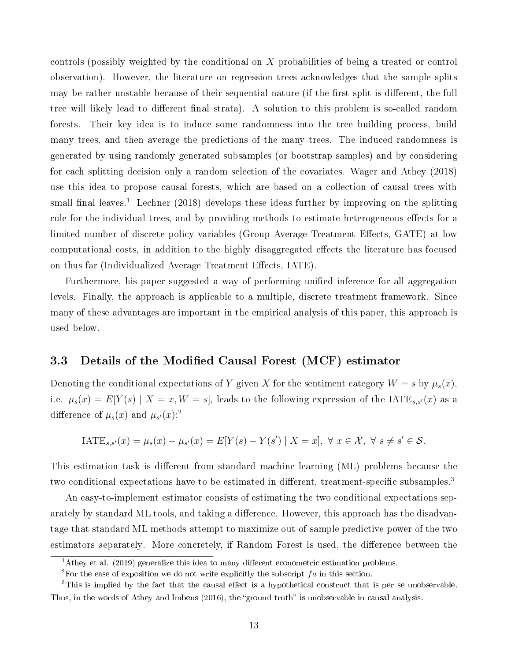controls (possibly weighted by the conditional on X probabilities of being a treated or control observation). However, the literature on regression trees acknowledges that the sample splits may be rather unstable because of their sequential nature (if the first split is different, the full tree will likely lead to different final strata). A solution to this problem is so-called random forests. Their key idea is to induce some randomness into the tree building process, build many trees, and then average the predictions of the many trees. The induced randomness is generated by using randomly generated subsamples (or bootstrap samples) and by considering for each splitting decision only a random selection of the covariates. Wager and Athey (2018) use this idea to propose causal forests, which are based on a collection of causal trees with small final leaves.<sup>1</sup> Lechner (2018) develops these ideas further by improving on the splitting rule for the individual trees, and by providing methods to estimate heterogeneous effects for a limited number of discrete policy variables (Group Average Treatment Effects, GATE) at low computational costs, in addition to the highly disaggregated effects the literature has focused on thus far (Individualized Average Treatment Effects, IATE).

Furthermore, his paper suggested a way of performing unified inference for all aggregation levels. Finally, the approach is applicable to a multiple, discrete treatment framework. Since many of these advantages are important in the empirical analysis of this paper, this approach is used below.

#### 3.3 Details of the Modified Causal Forest (MCF) estimator

Denoting the conditional expectations of Y given X for the sentiment category  $W = s$  by  $\mu_s(x)$ , i.e.  $\mu_s(x) = E[Y(s) | X = x, W = s]$ , leads to the following expression of the IATE<sub>s,s'</sub>(x) as a difference of  $\mu_s(x)$  and  $\mu_{s'}(x)$ :<sup>2</sup>

IATE<sub>s,s'</sub>
$$
(x) = \mu_s(x) - \mu_{s'}(x) = E[Y(s) - Y(s') | X = x], \forall x \in \mathcal{X}, \forall s \neq s' \in \mathcal{S}.
$$

This estimation task is different from standard machine learning (ML) problems because the two conditional expectations have to be estimated in different, treatment-specific subsamples.<sup>3</sup>

An easy-to-implement estimator consists of estimating the two conditional expectations separately by standard ML tools, and taking a difference. However, this approach has the disadvantage that standard ML methods attempt to maximize out-of-sample predictive power of the two estimators separately. More concretely, if Random Forest is used, the difference between the

<sup>&</sup>lt;sup>1</sup>Athey et al. (2019) generalize this idea to many different econometric estimation problems.

<sup>&</sup>lt;sup>2</sup>For the ease of exposition we do not write explicitly the subscript  $fa$  in this section.

 $3$ This is implied by the fact that the causal effect is a hypothetical construct that is per se unobservable. Thus, in the words of Athey and Imbens (2016), the "ground truth" is unobservable in causal analysis.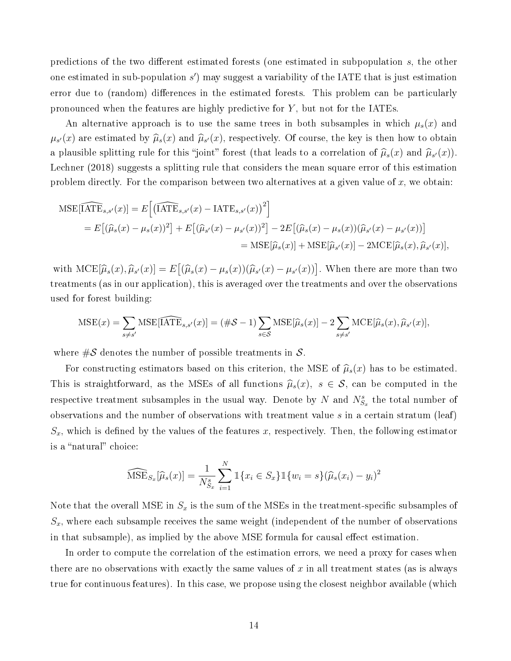predictions of the two different estimated forests (one estimated in subpopulation  $s$ , the other one estimated in sub-population  $s'$ ) may suggest a variability of the IATE that is just estimation error due to (random) differences in the estimated forests. This problem can be particularly pronounced when the features are highly predictive for  $Y$ , but not for the IATEs.

An alternative approach is to use the same trees in both subsamples in which  $\mu_s(x)$  and  $\mu_{s'}(x)$  are estimated by  $\widehat{\mu}_s(x)$  and  $\widehat{\mu}_{s'}(x)$ , respectively. Of course, the key is then how to obtain a plausible splitting rule for this "joint" forest (that leads to a correlation of  $\hat{\mu}_s(x)$  and  $\hat{\mu}_{s'}(x)$ ). Lechner (2018) suggests a splitting rule that considers the mean square error of this estimation problem directly. For the comparison between two alternatives at a given value of  $x$ , we obtain:

$$
\begin{split} \text{MSE}[\widehat{\text{IATE}}_{s,s'}(x)] &= E\Big[\big(\widehat{\text{IATE}}_{s,s'}(x) - \text{IATE}_{s,s'}(x)\big)^2\Big] \\ &= E\big[\big(\widehat{\mu}_s(x) - \mu_s(x)\big)^2\big] + E\big[\big(\widehat{\mu}_{s'}(x) - \mu_{s'}(x)\big)^2\big] - 2E\big[\big(\widehat{\mu}_s(x) - \mu_s(x)\big)\big(\widehat{\mu}_{s'}(x) - \mu_{s'}(x)\big)\big] \\ &= \text{MSE}[\widehat{\mu}_s(x)] + \text{MSE}[\widehat{\mu}_{s'}(x)] - 2\text{MCE}[\widehat{\mu}_s(x), \widehat{\mu}_{s'}(x)], \end{split}
$$

with  $\text{MCE}[\widehat{\mu}_s(x), \widehat{\mu}_{s'}(x)] = E[(\widehat{\mu}_s(x) - \mu_s(x))(\widehat{\mu}_{s'}(x) - \mu_{s'}(x))]$ . When there are more than two treatments (as in our application), this is averaged over the treatments and over the observations used for forest building:

$$
\text{MSE}(x) = \sum_{s \neq s'} \text{MSE}[\widehat{\text{IATE}}_{s,s'}(x)] = (\#\mathcal{S} - 1) \sum_{s \in \mathcal{S}} \text{MSE}[\widehat{\mu}_s(x)] - 2 \sum_{s \neq s'} \text{MCE}[\widehat{\mu}_s(x), \widehat{\mu}_{s'}(x)],
$$

where  $\#\mathcal{S}$  denotes the number of possible treatments in  $\mathcal{S}$ .

For constructing estimators based on this criterion, the MSE of  $\hat{\mu}_s(x)$  has to be estimated. This is straightforward, as the MSEs of all functions  $\hat{\mu}_s(x)$ ,  $s \in \mathcal{S}$ , can be computed in the respective treatment subsamples in the usual way. Denote by N and  $N_{S_x}^s$  the total number of observations and the number of observations with treatment value  $s$  in a certain stratum (leaf)  $S_x$ , which is defined by the values of the features x, respectively. Then, the following estimator is a "natural" choice:

$$
\widehat{\text{MSE}}_{S_x}[\widehat{\mu}_s(x)] = \frac{1}{N_{S_x}^s} \sum_{i=1}^N \mathbb{1}\{x_i \in S_x\} \mathbb{1}\{w_i = s\} (\widehat{\mu}_s(x_i) - y_i)^2
$$

Note that the overall MSE in  $S_x$  is the sum of the MSEs in the treatment-specific subsamples of  $S_x$ , where each subsample receives the same weight (independent of the number of observations in that subsample), as implied by the above MSE formula for causal effect estimation.

In order to compute the correlation of the estimation errors, we need a proxy for cases when there are no observations with exactly the same values of  $x$  in all treatment states (as is always true for continuous features). In this case, we propose using the closest neighbor available (which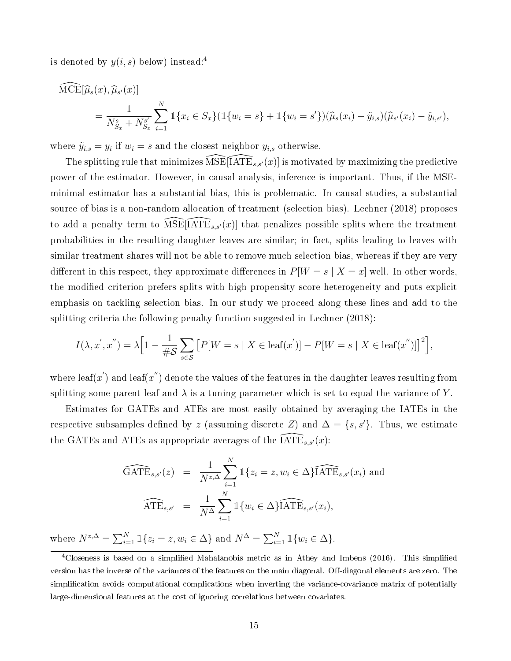is denoted by  $y(i, s)$  below) instead:<sup>4</sup>

$$
\begin{split} \widehat{\text{MCE}}[\widehat{\mu}_{s}(x), \widehat{\mu}_{s'}(x)] \\ &= \frac{1}{N_{S_x}^s + N_{S_x}^{s'}} \sum_{i=1}^N \mathbbm{1}\{x_i \in S_x\} (\mathbbm{1}\{w_i = s\} + \mathbbm{1}\{w_i = s'\}) (\widehat{\mu}_{s}(x_i) - \widetilde{y}_{i,s})(\widehat{\mu}_{s'}(x_i) - \widetilde{y}_{i,s'}), \end{split}
$$

where  $\tilde{y}_{i,s} = y_i$  if  $w_i = s$  and the closest neighbor  $y_{i,s}$  otherwise.

The splitting rule that minimizes  $\widehat{\text{MSE}}[\text{IATE}_{s,s'}(x)]$  is motivated by maximizing the predictive power of the estimator. However, in causal analysis, inference is important. Thus, if the MSEminimal estimator has a substantial bias, this is problematic. In causal studies, a substantial source of bias is a non-random allocation of treatment (selection bias). Lechner (2018) proposes to add a penalty term to  $MSE[IATE_{s,s'}(x)]$  that penalizes possible splits where the treatment probabilities in the resulting daughter leaves are similar; in fact, splits leading to leaves with similar treatment shares will not be able to remove much selection bias, whereas if they are very different in this respect, they approximate differences in  $P[W = s | X = x]$  well. In other words, the modified criterion prefers splits with high propensity score heterogeneity and puts explicit emphasis on tackling selection bias. In our study we proceed along these lines and add to the splitting criteria the following penalty function suggested in Lechner (2018):

$$
I(\lambda, x', x'') = \lambda \Big[ 1 - \frac{1}{\#S} \sum_{s \in S} \big[ P[W = s \mid X \in \text{leaf}(x') \big] - P[W = s \mid X \in \text{leaf}(x'') \big] \Big]^2 \Big],
$$

where leaf(x') and leaf(x'') denote the values of the features in the daughter leaves resulting from splitting some parent leaf and  $\lambda$  is a tuning parameter which is set to equal the variance of Y.

Estimates for GATEs and ATEs are most easily obtained by averaging the IATEs in the respective subsamples defined by z (assuming discrete Z) and  $\Delta = \{s, s'\}.$  Thus, we estimate the GATEs and ATEs as appropriate averages of the  $\widehat{\text{IATE}}_{s,s'}(x)$ :

$$
\widehat{\text{GATE}}_{s,s'}(z) = \frac{1}{N^{z,\Delta}} \sum_{i=1}^{N} \mathbb{1}\{z_i = z, w_i \in \Delta\} \widehat{\text{IATE}}_{s,s'}(x_i) \text{ and}
$$

$$
\widehat{\text{ATE}}_{s,s'} = \frac{1}{N^{\Delta}} \sum_{i=1}^{N} \mathbb{1}\{w_i \in \Delta\} \widehat{\text{IATE}}_{s,s'}(x_i),
$$

where  $N^{z,\Delta} = \sum_{i=1}^{N} \mathbb{1}\{z_i = z, w_i \in \Delta\}$  and  $N^{\Delta} = \sum_{i=1}^{N} \mathbb{1}\{w_i \in \Delta\}$ .

<sup>&</sup>lt;sup>4</sup>Closeness is based on a simplified Mahalanobis metric as in Athey and Imbens (2016). This simplified version has the inverse of the variances of the features on the main diagonal. Off-diagonal elements are zero. The simplication avoids computational complications when inverting the variance-covariance matrix of potentially large-dimensional features at the cost of ignoring correlations between covariates.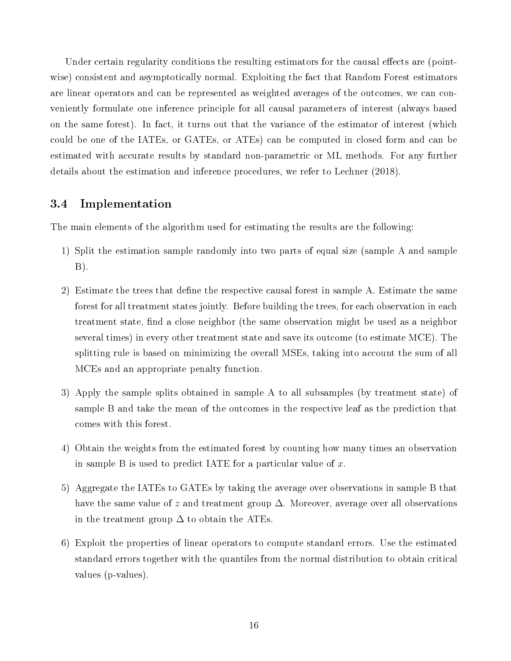Under certain regularity conditions the resulting estimators for the causal effects are (pointwise) consistent and asymptotically normal. Exploiting the fact that Random Forest estimators are linear operators and can be represented as weighted averages of the outcomes, we can conveniently formulate one inference principle for all causal parameters of interest (always based on the same forest). In fact, it turns out that the variance of the estimator of interest (which could be one of the IATEs, or GATEs, or ATEs) can be computed in closed form and can be estimated with accurate results by standard non-parametric or ML methods. For any further details about the estimation and inference procedures, we refer to Lechner (2018).

## 3.4 Implementation

The main elements of the algorithm used for estimating the results are the following:

- 1) Split the estimation sample randomly into two parts of equal size (sample A and sample B).
- 2) Estimate the trees that define the respective causal forest in sample A. Estimate the same forest for all treatment states jointly. Before building the trees, for each observation in each treatment state, find a close neighbor (the same observation might be used as a neighbor several times) in every other treatment state and save its outcome (to estimate MCE). The splitting rule is based on minimizing the overall MSEs, taking into account the sum of all MCEs and an appropriate penalty function.
- 3) Apply the sample splits obtained in sample A to all subsamples (by treatment state) of sample B and take the mean of the outcomes in the respective leaf as the prediction that comes with this forest.
- 4) Obtain the weights from the estimated forest by counting how many times an observation in sample B is used to predict IATE for a particular value of  $x$ .
- 5) Aggregate the IATEs to GATEs by taking the average over observations in sample B that have the same value of z and treatment group  $\Delta$ . Moreover, average over all observations in the treatment group  $\Delta$  to obtain the ATEs.
- 6) Exploit the properties of linear operators to compute standard errors. Use the estimated standard errors together with the quantiles from the normal distribution to obtain critical values (p-values).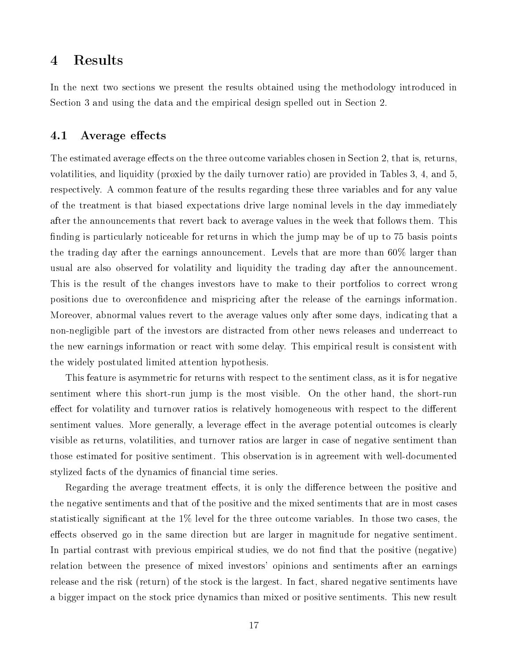## 4 Results

In the next two sections we present the results obtained using the methodology introduced in Section 3 and using the data and the empirical design spelled out in Section 2.

### 4.1 Average effects

The estimated average effects on the three outcome variables chosen in Section 2, that is, returns, volatilities, and liquidity (proxied by the daily turnover ratio) are provided in Tables 3, 4, and 5, respectively. A common feature of the results regarding these three variables and for any value of the treatment is that biased expectations drive large nominal levels in the day immediately after the announcements that revert back to average values in the week that follows them. This finding is particularly noticeable for returns in which the jump may be of up to 75 basis points the trading day after the earnings announcement. Levels that are more than 60% larger than usual are also observed for volatility and liquidity the trading day after the announcement. This is the result of the changes investors have to make to their portfolios to correct wrong positions due to overcondence and mispricing after the release of the earnings information. Moreover, abnormal values revert to the average values only after some days, indicating that a non-negligible part of the investors are distracted from other news releases and underreact to the new earnings information or react with some delay. This empirical result is consistent with the widely postulated limited attention hypothesis.

This feature is asymmetric for returns with respect to the sentiment class, as it is for negative sentiment where this short-run jump is the most visible. On the other hand, the short-run effect for volatility and turnover ratios is relatively homogeneous with respect to the different sentiment values. More generally, a leverage effect in the average potential outcomes is clearly visible as returns, volatilities, and turnover ratios are larger in case of negative sentiment than those estimated for positive sentiment. This observation is in agreement with well-documented stylized facts of the dynamics of nancial time series.

Regarding the average treatment effects, it is only the difference between the positive and the negative sentiments and that of the positive and the mixed sentiments that are in most cases statistically significant at the  $1\%$  level for the three outcome variables. In those two cases, the effects observed go in the same direction but are larger in magnitude for negative sentiment. In partial contrast with previous empirical studies, we do not find that the positive (negative) relation between the presence of mixed investors' opinions and sentiments after an earnings release and the risk (return) of the stock is the largest. In fact, shared negative sentiments have a bigger impact on the stock price dynamics than mixed or positive sentiments. This new result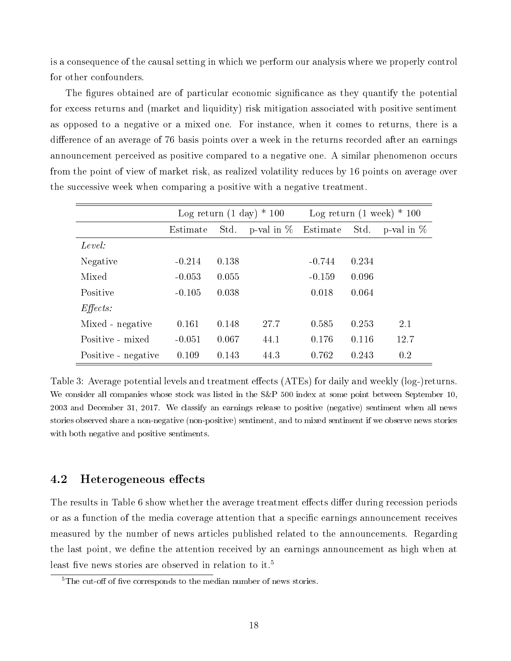is a consequence of the causal setting in which we perform our analysis where we properly control for other confounders.

The figures obtained are of particular economic significance as they quantify the potential for excess returns and (market and liquidity) risk mitigation associated with positive sentiment as opposed to a negative or a mixed one. For instance, when it comes to returns, there is a difference of an average of 76 basis points over a week in the returns recorded after an earnings announcement perceived as positive compared to a negative one. A similar phenomenon occurs from the point of view of market risk, as realized volatility reduces by 16 points on average over the successive week when comparing a positive with a negative treatment.

|                     |          |       | Log return $(1 \text{ day}) * 100$ | Log return $(1 \text{ week}) * 100$ |       |              |  |  |
|---------------------|----------|-------|------------------------------------|-------------------------------------|-------|--------------|--|--|
|                     | Estimate | Std.  | p-val in $\%$                      | Estimate                            | Std.  | p-val in $%$ |  |  |
| Level:              |          |       |                                    |                                     |       |              |  |  |
| Negative            | $-0.214$ | 0.138 |                                    | $-0.744$                            | 0.234 |              |  |  |
| Mixed               | $-0.053$ | 0.055 |                                    | $-0.159$                            | 0.096 |              |  |  |
| Positive            | $-0.105$ | 0.038 |                                    | 0.018                               | 0.064 |              |  |  |
| $E \text{ffects}:$  |          |       |                                    |                                     |       |              |  |  |
| Mixed - negative    | 0.161    | 0.148 | 27.7                               | 0.585                               | 0.253 | 2.1          |  |  |
| Positive - mixed    | $-0.051$ | 0.067 | 44.1                               | 0.176                               | 0.116 | 12.7         |  |  |
| Positive - negative | 0.109    | 0.143 | 44.3                               | 0.762                               | 0.243 | 0.2          |  |  |

Table 3: Average potential levels and treatment effects (ATEs) for daily and weekly (log-)returns. We consider all companies whose stock was listed in the S&P 500 index at some point between September 10, 2003 and December 31, 2017. We classify an earnings release to positive (negative) sentiment when all news stories observed share a non-negative (non-positive) sentiment, and to mixed sentiment if we observe news stories with both negative and positive sentiments.

## 4.2 Heterogeneous effects

The results in Table 6 show whether the average treatment effects differ during recession periods or as a function of the media coverage attention that a specific earnings announcement receives measured by the number of news articles published related to the announcements. Regarding the last point, we define the attention received by an earnings announcement as high when at least five news stories are observed in relation to it.<sup>5</sup>

 $5$ The cut-off of five corresponds to the median number of news stories.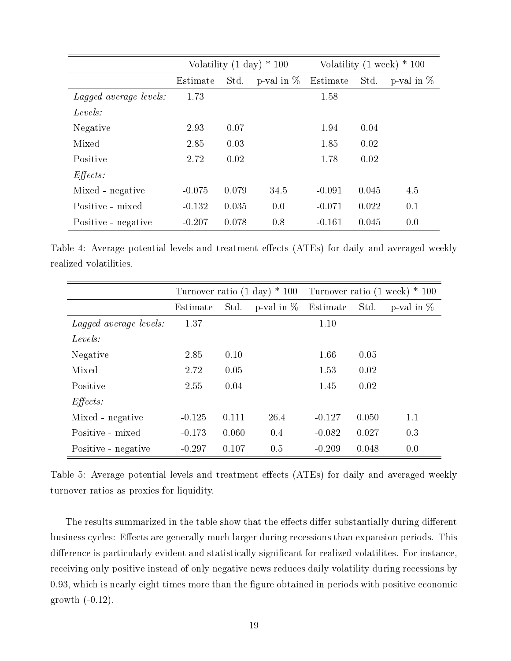|                        |          |       | Volatility $(1 \text{ day}) * 100$ | Volatility $(1 \text{ week}) * 100$ |       |               |  |
|------------------------|----------|-------|------------------------------------|-------------------------------------|-------|---------------|--|
|                        | Estimate | Std.  | p-val in $\%$                      | Estimate                            | Std.  | p-val in $\%$ |  |
| Lagged average levels: | 1.73     |       |                                    | 1.58                                |       |               |  |
| Levels:                |          |       |                                    |                                     |       |               |  |
| Negative               | 2.93     | 0.07  |                                    | 1.94                                | 0.04  |               |  |
| Mixed                  | 2.85     | 0.03  |                                    | 1.85                                | 0.02  |               |  |
| Positive               | 2.72     | 0.02  |                                    | 1.78                                | 0.02  |               |  |
| $Effects$ :            |          |       |                                    |                                     |       |               |  |
| Mixed - negative       | $-0.075$ | 0.079 | 34.5                               | $-0.091$                            | 0.045 | 4.5           |  |
| Positive - mixed       | $-0.132$ | 0.035 | 0.0                                | $-0.071$                            | 0.022 | 0.1           |  |
| Positive - negative    | $-0.207$ | 0.078 | 0.8                                | $-0.161$                            | 0.045 | 0.0           |  |

Table 4: Average potential levels and treatment effects (ATEs) for daily and averaged weekly realized volatilities.

|                        |          |       |               | Turnover ratio $(1 \text{ day}) * 100$ Turnover ratio $(1 \text{ week}) * 100$ |       |               |  |  |
|------------------------|----------|-------|---------------|--------------------------------------------------------------------------------|-------|---------------|--|--|
|                        | Estimate | Std.  | p-val in $\%$ | Estimate                                                                       | Std.  | p-val in $\%$ |  |  |
| Lagged average levels: | 1.37     |       |               | 1.10                                                                           |       |               |  |  |
| Levels:                |          |       |               |                                                                                |       |               |  |  |
| Negative               | 2.85     | 0.10  |               | 1.66                                                                           | 0.05  |               |  |  |
| Mixed                  | 2.72     | 0.05  |               | 1.53                                                                           | 0.02  |               |  |  |
| Positive               | 2.55     | 0.04  |               | 1.45                                                                           | 0.02  |               |  |  |
| $E\mathit{ffects}:$    |          |       |               |                                                                                |       |               |  |  |
| Mixed - negative       | $-0.125$ | 0.111 | 26.4          | $-0.127$                                                                       | 0.050 | 1.1           |  |  |
| Positive - mixed       | $-0.173$ | 0.060 | 0.4           | $-0.082$                                                                       | 0.027 | 0.3           |  |  |
| Positive - negative    | $-0.297$ | 0.107 | 0.5           | $-0.209$                                                                       | 0.048 | 0.0           |  |  |

Table 5: Average potential levels and treatment effects (ATEs) for daily and averaged weekly turnover ratios as proxies for liquidity.

The results summarized in the table show that the effects differ substantially during different business cycles: Effects are generally much larger during recessions than expansion periods. This difference is particularly evident and statistically significant for realized volatilites. For instance, receiving only positive instead of only negative news reduces daily volatility during recessions by 0.93, which is nearly eight times more than the figure obtained in periods with positive economic growth  $(-0.12)$ .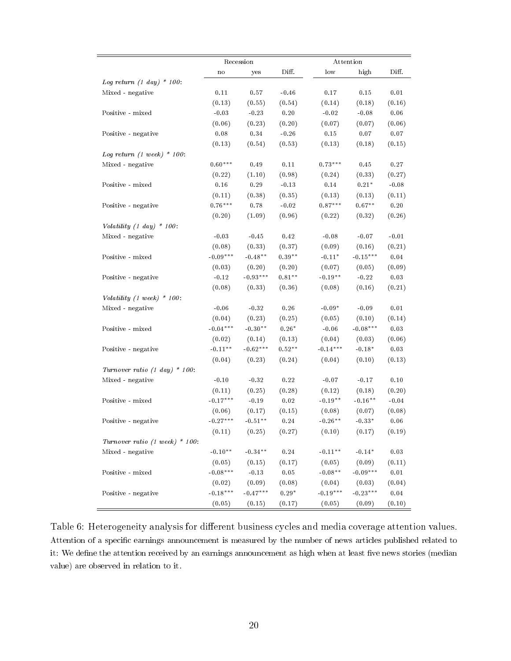|                                          |               | Recession  |                     |                  | Attention     |                     |  |
|------------------------------------------|---------------|------------|---------------------|------------------|---------------|---------------------|--|
|                                          | $\mathbf n$ o | yes        | Diff.               | low              | high          | Diff.               |  |
| Log return $(1 \ day) * 100$ :           |               |            |                     |                  |               |                     |  |
| Mixed - negative                         | 0.11          | 0.57       | $-0.46$             | 0.17             | 0.15          | 0.01                |  |
|                                          | (0.13)        | (0.55)     | (0.54)              | (0.14)           | (0.18)        | (0.16)              |  |
| Positive - mixed                         | $-0.03$       | $-0.23$    | $0.20\,$            | $-0.02$          | $-0.08$       | $0.06\,$            |  |
|                                          | (0.06)        | (0.23)     | (0.20)              | (0.07)           | (0.07)        | (0.06)              |  |
| Positive - negative                      | $0.08\,$      | 0.34       | $-0.26$             | $0\,.15$         | 0.07          | 0.07                |  |
|                                          | (0.13)        | (0.54)     | (0.53)              | (0.13)           | (0.18)        | (0.15)              |  |
| Log return $(1 \text{ week}) * 100$ :    |               |            |                     |                  |               |                     |  |
| Mixed - negative                         | $0.60***$     | $0\,.49$   | $0.11\,$            | $0.73***$        | $0.45\,$      | 0.27                |  |
|                                          | (0.22)        | (1.10)     | (0.98)              | (0.24)           | (0.33)        | (0.27)              |  |
| Positive - mixed                         | 0.16          | $0\,.29$   | $-0.13$             | 0.14             | $0.21^{\ast}$ | $-0.08$             |  |
|                                          | (0.11)        | (0.38)     | (0.35)              | (0.13)           | (0.13)        | (0.11)              |  |
| Positive - negative                      | $0.76***$     | $0\,.78$   | $\sim\!0.02$        | $0.87***$        | $0.67***$     | $0\,.20$            |  |
|                                          | (0.20)        | (1.09)     | (0.96)              | (0.22)           | (0.32)        | (0.26)              |  |
| Volatility $(1 day) * 100$ :             |               |            |                     |                  |               |                     |  |
| Mixed - negative                         | $-0.03$       | $-0.45$    | 0.42                | $-0.08$          | $-0.07$       | $-0.01$             |  |
|                                          | (0.08)        | (0.33)     | (0.37)              | (0.09)           | (0.16)        | (0.21)              |  |
| Positive - mixed                         | $-0.09***$    | $-0.48**$  | $0.39**$            | $-0.11*$         | $-0.15***$    | $\,0.04$            |  |
|                                          | (0.03)        | (0.20)     | (0.20)              | (0.07)           | (0.05)        | (0.09)              |  |
| Positive - negative                      | $-0.12$       | $-0.93***$ | $0.81**$            | $-0.19**$        | $-0.22$       | $\,0.03$            |  |
|                                          | (0.08)        | (0.33)     | (0.36)              | (0.08)           | (0.16)        | (0.21)              |  |
| Volatility (1 week) $*$ 100:             |               |            |                     |                  |               |                     |  |
| Mixed - negative                         | $-0.06$       | $-0.32$    | 0.26                | $-0.09*$         | $-0.09$       | $0\,.01$            |  |
|                                          | (0.04)        | (0.23)     | (0.25)              | (0.05)           | (0.10)        | (0.14)              |  |
| Positive - mixed                         | $-0.04***$    | $-0.30**$  | $0.26*$             | $-0.06$          | $-0.08***$    | $\,0.03$            |  |
|                                          | (0.02)        | (0.14)     | (0.13)              | (0.04)           | (0.03)        | (0.06)              |  |
| Positive - negative                      | $-0.11**$     | $-0.62***$ | $0.52**$            | $-0.14***$       | $-0.18*$      | $0\,.03$            |  |
|                                          | (0.04)        | (0.23)     | (0.24)              | (0.04)           | (0.10)        | (0.13)              |  |
| Turnover ratio $(1 \text{ day}) * 100$ : |               |            |                     |                  |               |                     |  |
| Mixed - negative                         | $-0.10$       | $-0.32$    | $0.22\,$            | $\textbf{-0.07}$ | $-0.17$       | 0.10                |  |
|                                          | (0.11)        | (0.25)     | (0.28)              | (0.12)           | (0.18)        | (0.20)              |  |
| Positive - mixed                         | $-0.17***$    | $-0.19$    | $0.02\,$            | $-0.19**$        | $-0.16**$     | $-0.04$             |  |
|                                          | (0.06)        | (0.17)     | (0.15)              | (0.08)           | (0.07)        | (0.08)              |  |
| Positive - negative                      | $-0.27***$    | $-0.51***$ | $\rm 0.24$          | $-0.26**$        | $-0.33*$      | 0.06                |  |
|                                          | (0.11)        | (0.25)     | (0.27)              | (0.10)           | (0.17)        | (0.19)              |  |
| Turnover ratio (1 week) $*$ 100:         |               |            |                     |                  |               |                     |  |
| Mixed - negative                         | $-0.10**$     | $-0.34**$  | $0.24\,$            | $-0.11**$        | $-0.14*$      | $0.03\,$            |  |
|                                          | (0.05)        | (0.15)     | (0.17)              | (0.05)           | (0.09)        | (0.11)              |  |
| Positive - mixed                         | $-0.08***$    | $-0.13$    | $\boldsymbol{0.05}$ | $-0.08**$        | $-0.09***$    | $0\, .01$           |  |
|                                          | (0.02)        | (0.09)     | (0.08)              | (0.04)           | (0.03)        | (0.04)              |  |
| Positive - negative                      | $-0.18***$    | $-0.47***$ | $0.29*$             | $-0.19***$       | $-0.23***$    | $\boldsymbol{0.04}$ |  |
|                                          | (0.05)        | (0.15)     | (0.17)              | (0.05)           | (0.09)        | (0.10)              |  |

Table 6: Heterogeneity analysis for different business cycles and media coverage attention values. Attention of a specific earnings announcement is measured by the number of news articles published related to it: We define the attention received by an earnings announcement as high when at least five news stories (median value) are observed in relation to it.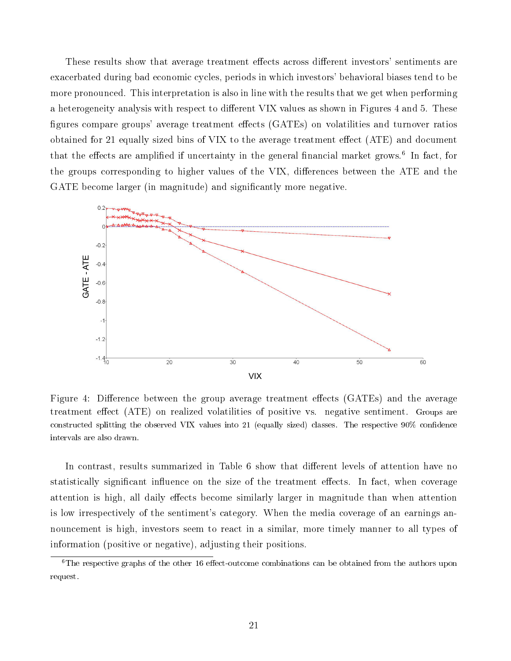These results show that average treatment effects across different investors' sentiments are exacerbated during bad economic cycles, periods in which investors' behavioral biases tend to be more pronounced. This interpretation is also in line with the results that we get when performing a heterogeneity analysis with respect to different VIX values as shown in Figures 4 and 5. These figures compare groups' average treatment effects (GATEs) on volatilities and turnover ratios<br>obtained for 21 equally sized bins of VIX to the average treatment effect (ATE) and decument obtained for 21 equally sized bins of VIX to the average treatment effect  $(ATE)$  and document that the effects are amplified if uncertainty in the general financial market grows.<sup>6</sup> In fact, for the groups corresponding to higher values of the VIX, differences between the ATE and the GATE become larger (in magnitude) and significantly more negative.



Figure 4: Difference between the group average treatment effects (GATEs) and the average treatment effect (ATE) on realized volatilities of positive vs. negative sentiment. Groups are constructed splitting the observed VIX values into 21 (equally sized) classes. The respective 90% condence intervals are also drawn.

In contrast, results summarized in Table 6 show that different levels of attention have no statistically significant influence on the size of the treatment effects. In fact, when coverage attention is high, all daily effects become similarly larger in magnitude than when attention is low irrespectively of the sentiment's category. When the media coverage of an earnings announcement is high, investors seem to react in a similar, more timely manner to all types of information (positive or negative), adjusting their positions.

 ${}^6$ The respective graphs of the other 16 effect-outcome combinations can be obtained from the authors upon request.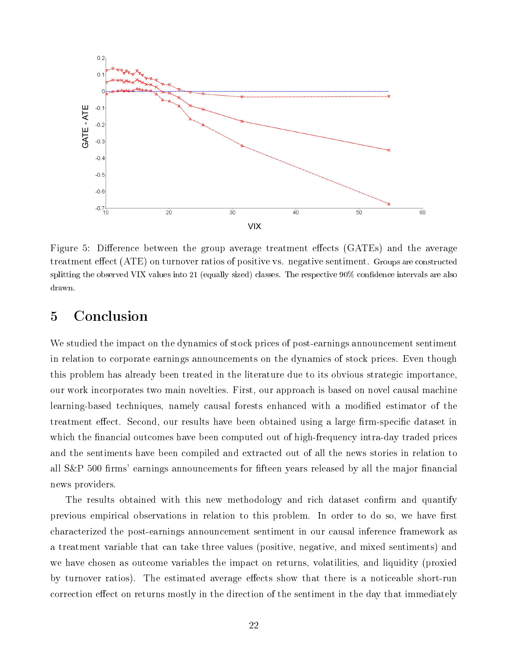

Figure 5: Difference between the group average treatment effects (GATEs) and the average treatment effect (ATE) on turnover ratios of positive vs. negative sentiment. Groups are constructed splitting the observed VIX values into 21 (equally sized) classes. The respective 90% condence intervals are also drawn.

# 5 Conclusion

We studied the impact on the dynamics of stock prices of post-earnings announcement sentiment in relation to corporate earnings announcements on the dynamics of stock prices. Even though this problem has already been treated in the literature due to its obvious strategic importance, our work incorporates two main novelties. First, our approach is based on novel causal machine learning-based techniques, namely causal forests enhanced with a modied estimator of the treatment effect. Second, our results have been obtained using a large firm-specific dataset in which the financial outcomes have been computed out of high-frequency intra-day traded prices and the sentiments have been compiled and extracted out of all the news stories in relation to all  $S\&P$  500 firms' earnings announcements for fifteen years released by all the major financial news providers.

The results obtained with this new methodology and rich dataset confirm and quantify previous empirical observations in relation to this problem. In order to do so, we have first characterized the post-earnings announcement sentiment in our causal inference framework as a treatment variable that can take three values (positive, negative, and mixed sentiments) and we have chosen as outcome variables the impact on returns, volatilities, and liquidity (proxied by turnover ratios). The estimated average effects show that there is a noticeable short-run correction effect on returns mostly in the direction of the sentiment in the day that immediately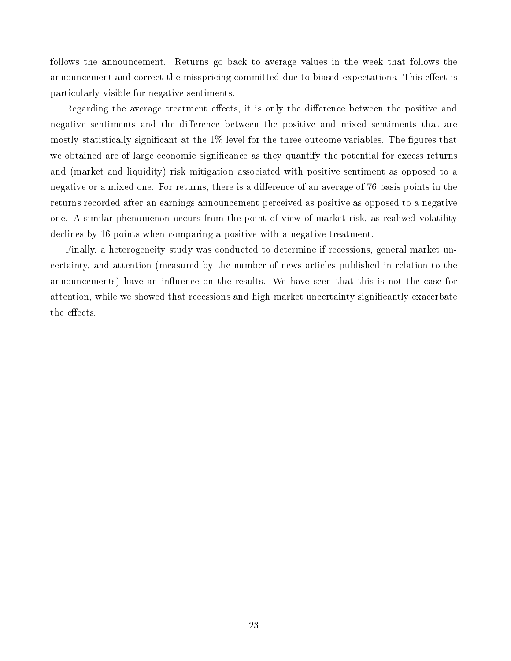follows the announcement. Returns go back to average values in the week that follows the announcement and correct the misspricing committed due to biased expectations. This effect is particularly visible for negative sentiments.

Regarding the average treatment effects, it is only the difference between the positive and negative sentiments and the difference between the positive and mixed sentiments that are mostly statistically significant at the  $1\%$  level for the three outcome variables. The figures that we obtained are of large economic significance as they quantify the potential for excess returns and (market and liquidity) risk mitigation associated with positive sentiment as opposed to a negative or a mixed one. For returns, there is a difference of an average of 76 basis points in the returns recorded after an earnings announcement perceived as positive as opposed to a negative one. A similar phenomenon occurs from the point of view of market risk, as realized volatility declines by 16 points when comparing a positive with a negative treatment.

Finally, a heterogeneity study was conducted to determine if recessions, general market uncertainty, and attention (measured by the number of news articles published in relation to the announcements) have an influence on the results. We have seen that this is not the case for attention, while we showed that recessions and high market uncertainty significantly exacerbate the effects.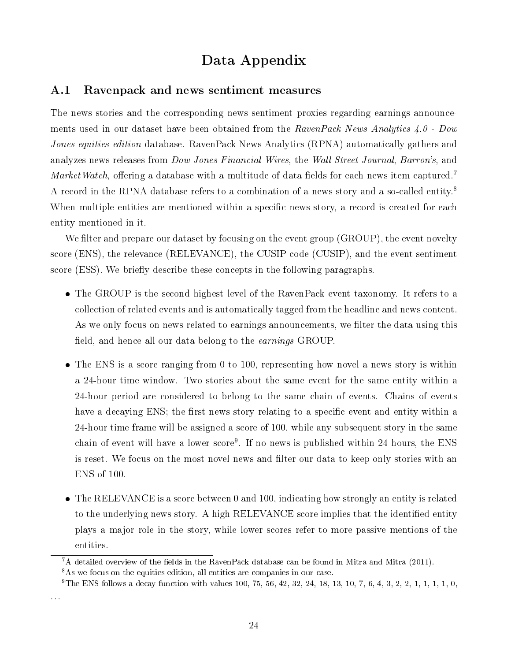# Data Appendix

#### A.1 Ravenpack and news sentiment measures

The news stories and the corresponding news sentiment proxies regarding earnings announcements used in our dataset have been obtained from the RavenPack News Analytics 4.0 - Dow Jones equities edition database. RavenPack News Analytics (RPNA) automatically gathers and analyzes news releases from *Dow Jones Financial Wires*, the *Wall Street Journal*, *Barron's*, and MarketWatch, offering a database with a multitude of data fields for each news item captured.<sup>7</sup> A record in the RPNA database refers to a combination of a news story and a so-called entity.<sup>8</sup> When multiple entities are mentioned within a specific news story, a record is created for each entity mentioned in it.

We filter and prepare our dataset by focusing on the event group (GROUP), the event novelty score (ENS), the relevance (RELEVANCE), the CUSIP code (CUSIP), and the event sentiment score (ESS). We briefly describe these concepts in the following paragraphs.

- The GROUP is the second highest level of the RavenPack event taxonomy. It refers to a collection of related events and is automatically tagged from the headline and news content. As we only focus on news related to earnings announcements, we filter the data using this field, and hence all our data belong to the *earnings* GROUP.
- The ENS is a score ranging from 0 to 100, representing how novel a news story is within a 24-hour time window. Two stories about the same event for the same entity within a 24-hour period are considered to belong to the same chain of events. Chains of events have a decaying ENS; the first news story relating to a specific event and entity within a 24-hour time frame will be assigned a score of 100, while any subsequent story in the same chain of event will have a lower score<sup>9</sup>. If no news is published within 24 hours, the ENS is reset. We focus on the most novel news and filter our data to keep only stories with an ENS of 100.
- The RELEVANCE is a score between 0 and 100, indicating how strongly an entity is related to the underlying news story. A high RELEVANCE score implies that the identified entity plays a major role in the story, while lower scores refer to more passive mentions of the entities.

. . .

 ${}^{7}$ A detailed overview of the fields in the RavenPack database can be found in Mitra and Mitra (2011).

<sup>&</sup>lt;sup>8</sup>As we focus on the equities edition, all entities are companies in our case.

<sup>&</sup>lt;sup>9</sup>The ENS follows a decay function with values 100, 75, 56, 42, 32, 24, 18, 13, 10, 7, 6, 4, 3, 2, 2, 1, 1, 1, 1, 0,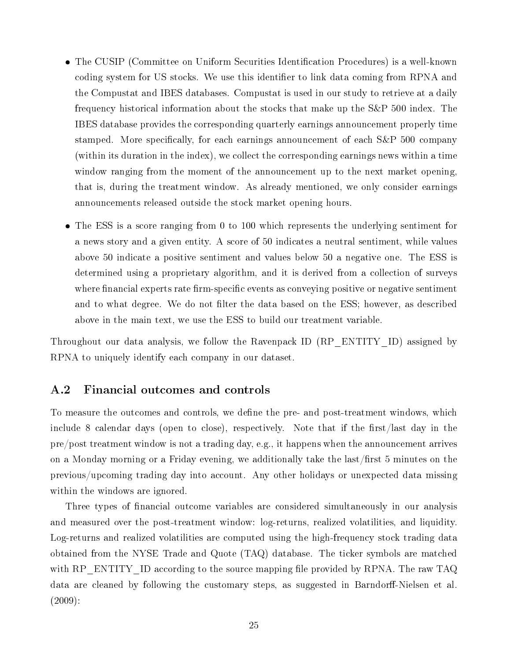- The CUSIP (Committee on Uniform Securities Identification Procedures) is a well-known coding system for US stocks. We use this identifier to link data coming from RPNA and the Compustat and IBES databases. Compustat is used in our study to retrieve at a daily frequency historical information about the stocks that make up the S&P 500 index. The IBES database provides the corresponding quarterly earnings announcement properly time stamped. More specifically, for each earnings announcement of each S&P 500 company (within its duration in the index), we collect the corresponding earnings news within a time window ranging from the moment of the announcement up to the next market opening, that is, during the treatment window. As already mentioned, we only consider earnings announcements released outside the stock market opening hours.
- The ESS is a score ranging from 0 to 100 which represents the underlying sentiment for a news story and a given entity. A score of 50 indicates a neutral sentiment, while values above 50 indicate a positive sentiment and values below 50 a negative one. The ESS is determined using a proprietary algorithm, and it is derived from a collection of surveys where financial experts rate firm-specific events as conveying positive or negative sentiment and to what degree. We do not filter the data based on the ESS; however, as described above in the main text, we use the ESS to build our treatment variable.

Throughout our data analysis, we follow the Ravenpack ID (RP\_ENTITY\_ID) assigned by RPNA to uniquely identify each company in our dataset.

## A.2 Financial outcomes and controls

To measure the outcomes and controls, we define the pre- and post-treatment windows, which include 8 calendar days (open to close), respectively. Note that if the first/last day in the pre/post treatment window is not a trading day, e.g., it happens when the announcement arrives on a Monday morning or a Friday evening, we additionally take the last/first 5 minutes on the previous/upcoming trading day into account. Any other holidays or unexpected data missing within the windows are ignored.

Three types of financial outcome variables are considered simultaneously in our analysis and measured over the post-treatment window: log-returns, realized volatilities, and liquidity. Log-returns and realized volatilities are computed using the high-frequency stock trading data obtained from the NYSE Trade and Quote (TAQ) database. The ticker symbols are matched with RP\_ENTITY\_ID according to the source mapping file provided by RPNA. The raw TAQ data are cleaned by following the customary steps, as suggested in Barndorff-Nielsen et al. (2009):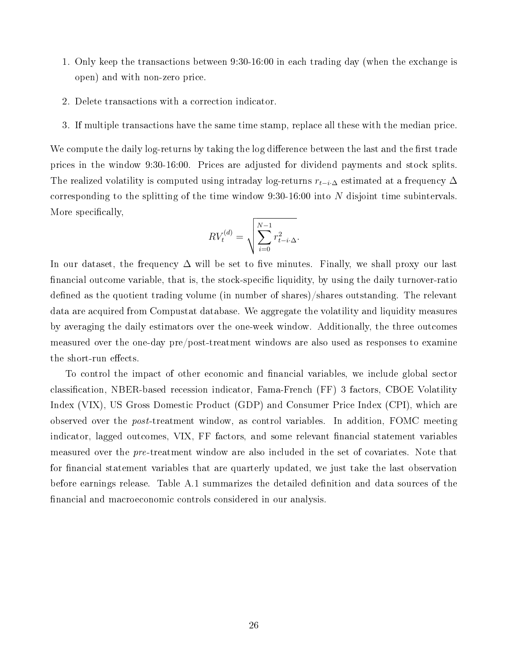- 1. Only keep the transactions between 9:30-16:00 in each trading day (when the exchange is open) and with non-zero price.
- 2. Delete transactions with a correction indicator.
- 3. If multiple transactions have the same time stamp, replace all these with the median price.

We compute the daily log-returns by taking the log difference between the last and the first trade prices in the window 9:30-16:00. Prices are adjusted for dividend payments and stock splits. The realized volatility is computed using intraday log-returns  $r_{t-i}$  estimated at a frequency  $\Delta$ corresponding to the splitting of the time window 9:30-16:00 into N disjoint time subintervals. More specifically,

$$
RV_t^{(d)} = \sqrt{\sum_{i=0}^{N-1} r_{t-i \cdot \Delta}^2}.
$$

In our dataset, the frequency  $\Delta$  will be set to five minutes. Finally, we shall proxy our last financial outcome variable, that is, the stock-specific liquidity, by using the daily turnover-ratio defined as the quotient trading volume (in number of shares)/shares outstanding. The relevant data are acquired from Compustat database. We aggregate the volatility and liquidity measures by averaging the daily estimators over the one-week window. Additionally, the three outcomes measured over the one-day pre/post-treatment windows are also used as responses to examine the short-run effects.

To control the impact of other economic and financial variables, we include global sector classication, NBER-based recession indicator, Fama-French (FF) 3 factors, CBOE Volatility Index (VIX), US Gross Domestic Product (GDP) and Consumer Price Index (CPI), which are observed over the post-treatment window, as control variables. In addition, FOMC meeting indicator, lagged outcomes, VIX, FF factors, and some relevant financial statement variables measured over the pre-treatment window are also included in the set of covariates. Note that for financial statement variables that are quarterly updated, we just take the last observation before earnings release. Table A.1 summarizes the detailed definition and data sources of the nancial and macroeconomic controls considered in our analysis.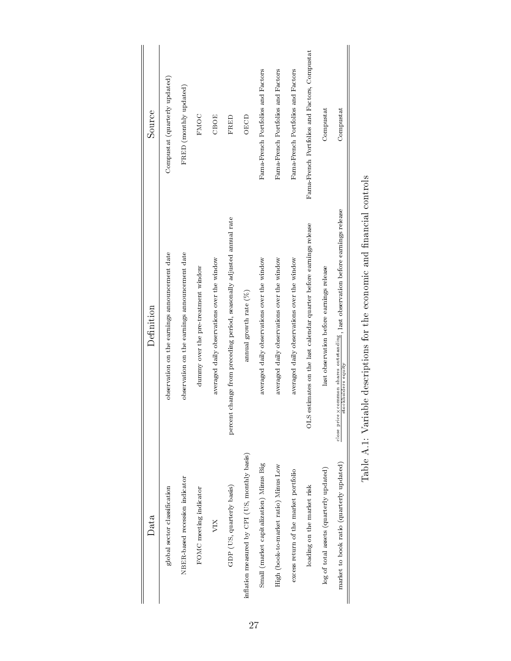| Source     | Compustat (quarterly updated)                 | FRED (monthly updated)                        | FMOC                                | CBOE                                        | FRED                                                                  | <b>OECD</b>                                   | Fama-French Portfolios and Factors          | Fama-French Portfolios and Factors          | Fama-French Portfolios and Factors          | Fama-French Portfolios and Factors, Compustat                         | Compustat                                | Compustat                                                                                                        |
|------------|-----------------------------------------------|-----------------------------------------------|-------------------------------------|---------------------------------------------|-----------------------------------------------------------------------|-----------------------------------------------|---------------------------------------------|---------------------------------------------|---------------------------------------------|-----------------------------------------------------------------------|------------------------------------------|------------------------------------------------------------------------------------------------------------------|
| Definition | observation on the earnings announcement date | observation on the earnings announcement date | dummy over the pre-treatment window | averaged daily observations over the window | percent change from preceding period, seasonally adjusted annual rate | annual growth rate $(%)$                      | averaged daily observations over the window | averaged daily observations over the window | averaged daily observations over the window | estimates on the last calendar quarter before earnings release<br>STO | last observation before earnings release | close price $\times$ common shares outstanding , last observation before earnings release<br>stockholders equity |
| Data       | global sector classification                  | NBER based recession indicator                | FOMC meeting indicator              | VIX                                         | GDP (US, quarterly basis)                                             | inflation measured by CPI (US, monthly basis) | Small (market capitalization) Minus Big     | High (book-to-market ratio) Minus Low       | excess return of the market portfolio       | loading on the market risk                                            | log of total assets (quarterly updated)  | market to book ratio (quarterly updated)                                                                         |

| $\frac{1}{2}$                                          |
|--------------------------------------------------------|
|                                                        |
|                                                        |
| which is the the concern on an international contexts. |
|                                                        |
|                                                        |
| j<br>I                                                 |
| ていい いちにん                                               |
| .<br>.<br>.                                            |
| .<br>ו<br>$\frac{1}{2}$<br>S<br>1                      |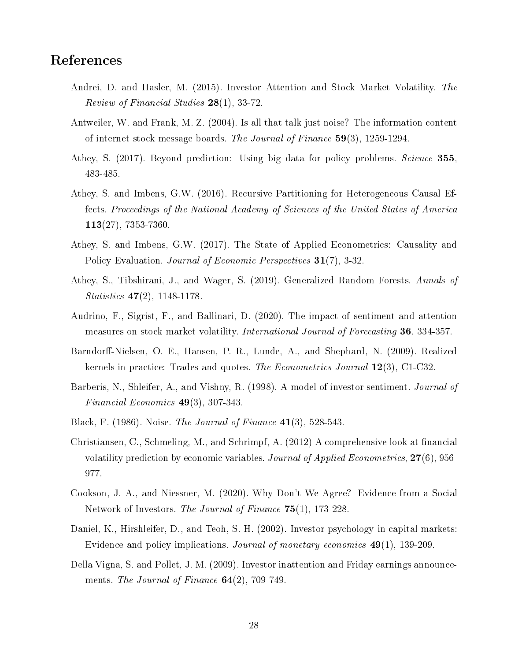## References

- Andrei, D. and Hasler, M. (2015). Investor Attention and Stock Market Volatility. The Review of Financial Studies 28(1), 33-72.
- Antweiler, W. and Frank, M. Z. (2004). Is all that talk just noise? The information content of internet stock message boards. The Journal of Finance 59(3), 1259-1294.
- Athey, S. (2017). Beyond prediction: Using big data for policy problems. Science 355, 483-485.
- Athey, S. and Imbens, G.W. (2016). Recursive Partitioning for Heterogeneous Causal Effects. Proceedings of the National Academy of Sciences of the United States of America 113(27), 7353-7360.
- Athey, S. and Imbens, G.W. (2017). The State of Applied Econometrics: Causality and Policy Evaluation. *Journal of Economic Perspectives* 31(7), 3-32.
- Athey, S., Tibshirani, J., and Wager, S. (2019). Generalized Random Forests. Annals of Statistics 47(2), 1148-1178.
- Audrino, F., Sigrist, F., and Ballinari, D. (2020). The impact of sentiment and attention measures on stock market volatility. International Journal of Forecasting 36, 334-357.
- Barndorff-Nielsen, O. E., Hansen, P. R., Lunde, A., and Shephard, N. (2009). Realized kernels in practice: Trades and quotes. The Econometrics Journal 12(3), C1-C32.
- Barberis, N., Shleifer, A., and Vishny, R. (1998). A model of investor sentiment. *Journal of* Financial Economics 49(3), 307-343.
- Black, F. (1986). Noise. The Journal of Finance 41(3), 528-543.
- Christiansen, C., Schmeling, M., and Schrimpf, A. (2012) A comprehensive look at financial volatility prediction by economic variables. Journal of Applied Econometrics, 27(6), 956- 977.
- Cookson, J. A., and Niessner, M. (2020). Why Don't We Agree? Evidence from a Social Network of Investors. The Journal of Finance 75(1), 173-228.
- Daniel, K., Hirshleifer, D., and Teoh, S. H. (2002). Investor psychology in capital markets: Evidence and policy implications. Journal of monetary economics 49(1), 139-209.
- Della Vigna, S. and Pollet, J. M. (2009). Investor inattention and Friday earnings announcements. The Journal of Finance  $64(2)$ , 709-749.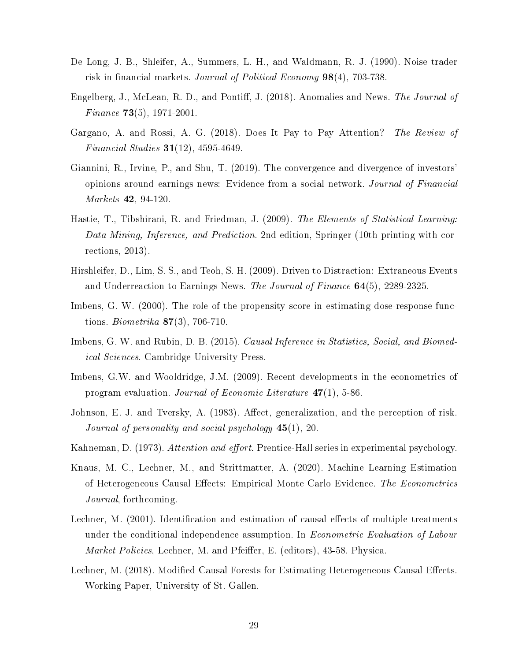- De Long, J. B., Shleifer, A., Summers, L. H., and Waldmann, R. J. (1990). Noise trader risk in financial markets. Journal of Political Economy  $98(4)$ , 703-738.
- Engelberg, J., McLean, R. D., and Pontiff, J. (2018). Anomalies and News. The Journal of *Finance* **73**(5), 1971-2001.
- Gargano, A. and Rossi, A. G. (2018). Does It Pay to Pay Attention? The Review of *Financial Studies*  $31(12)$ , 4595-4649.
- Giannini, R., Irvine, P., and Shu, T. (2019). The convergence and divergence of investors' opinions around earnings news: Evidence from a social network. Journal of Financial Markets 42, 94-120.
- Hastie, T., Tibshirani, R. and Friedman, J. (2009). The Elements of Statistical Learning: Data Mining, Inference, and Prediction. 2nd edition, Springer (10th printing with corrections, 2013).
- Hirshleifer, D., Lim, S. S., and Teoh, S. H. (2009). Driven to Distraction: Extraneous Events and Underreaction to Earnings News. The Journal of Finance 64(5), 2289-2325.
- Imbens, G. W. (2000). The role of the propensity score in estimating dose-response functions. *Biometrika* **87**(3), 706-710.
- Imbens, G. W. and Rubin, D. B. (2015). Causal Inference in Statistics, Social, and Biomedical Sciences. Cambridge University Press.
- Imbens, G.W. and Wooldridge, J.M. (2009). Recent developments in the econometrics of program evaluation. Journal of Economic Literature 47(1), 5-86.
- Johnson, E. J. and Tversky, A. (1983). Affect, generalization, and the perception of risk. Journal of personality and social psychology  $45(1)$ , 20.
- Kahneman, D. (1973). Attention and effort. Prentice-Hall series in experimental psychology.
- Knaus, M. C., Lechner, M., and Strittmatter, A. (2020). Machine Learning Estimation of Heterogeneous Causal Effects: Empirical Monte Carlo Evidence. The Econometrics Journal, forthcoming.
- Lechner, M. (2001). Identification and estimation of causal effects of multiple treatments under the conditional independence assumption. In *Econometric Evaluation of Labour* Market Policies, Lechner, M. and Pfeiffer, E. (editors), 43-58. Physica.
- Lechner, M. (2018). Modified Causal Forests for Estimating Heterogeneous Causal Effects. Working Paper, University of St. Gallen.